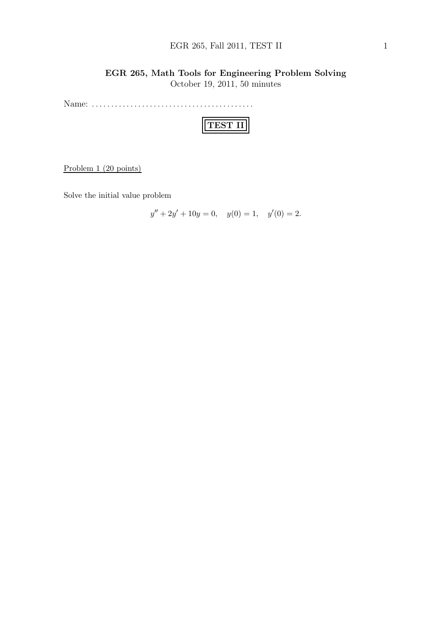#### EGR 265, Fall 2011, TEST II 1

## EGR 265, Math Tools for Engineering Problem Solving

October 19, 2011, 50 minutes

Name: . . . . . . . . . . . . . . . . . . . . . . . . . . . . . . . . . . . . . . . . . .

|--|

Problem 1 (20 points)

Solve the initial value problem

 $y'' + 2y' + 10y = 0$ ,  $y(0) = 1$ ,  $y'(0) = 2$ .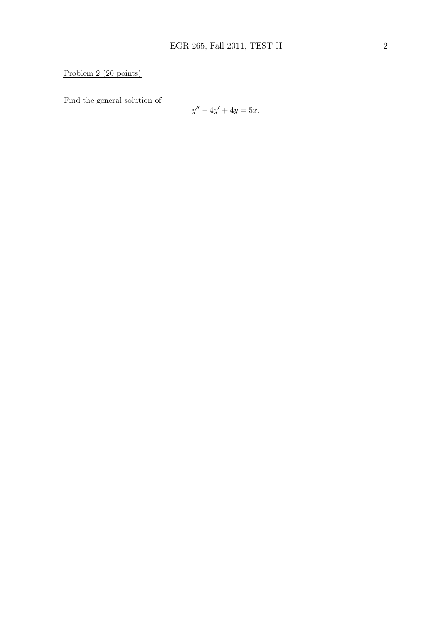# Problem 2 (20 points)

Find the general solution of

$$
y'' - 4y' + 4y = 5x.
$$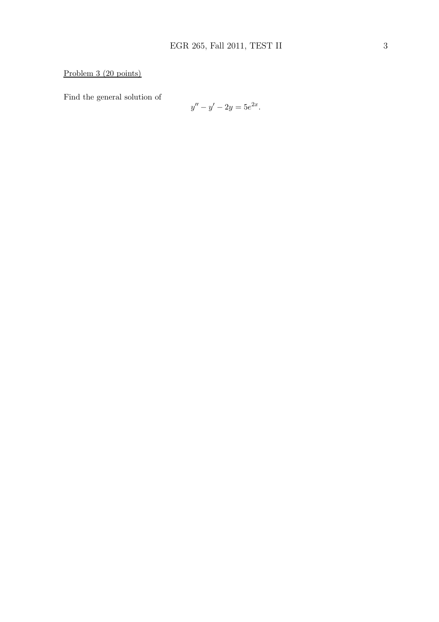### Problem 3 (20 points)

Find the general solution of

$$
y'' - y' - 2y = 5e^{2x}.
$$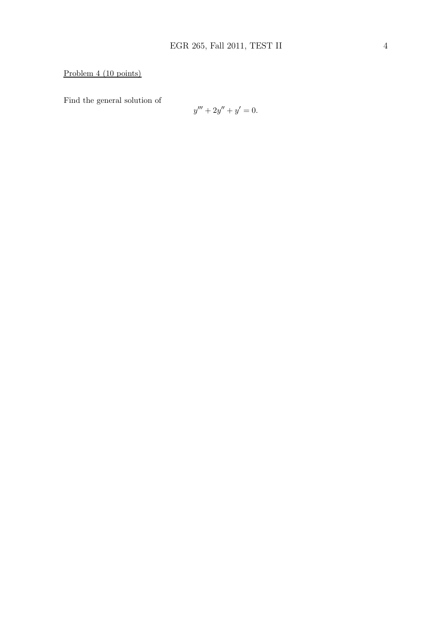# Problem 4 (10 points)

Find the general solution of

$$
y''' + 2y'' + y' = 0.
$$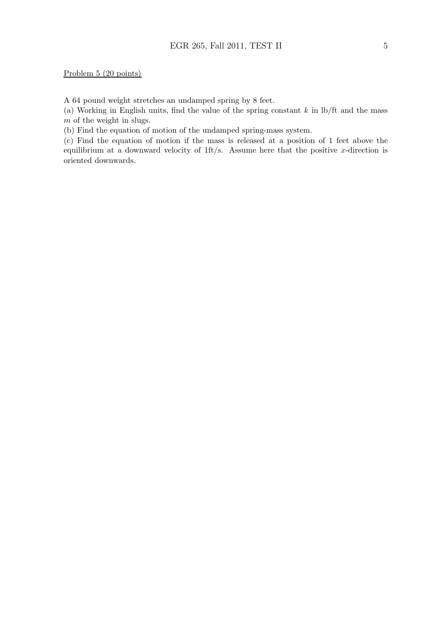A 64 pound weight stretches an undamped spring by 8 feet.

(a) Working in English units, find the value of the spring constant  $k$  in  $\frac{1}{k}$  and the mass m of the weight in slugs.

(b) Find the equation of motion of the undamped spring-mass system.

(c) Find the equation of motion if the mass is released at a position of 1 feet above the equilibrium at a downward velocity of  $1\text{ft/s}$ . Assume here that the positive x-direction is oriented downwards.